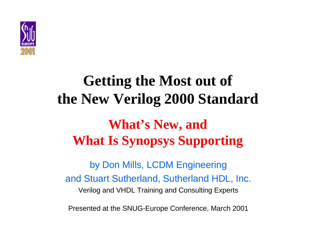

# **Getting the Most out of the New Verilog 2000 Standard What's New, and What Is Synopsys Supporting**

by Don Mills, LCDM Engineering and Stuart Sutherland, Sutherland HDL, Inc. Verilog and VHDL Training and Consulting Experts

Presented at the SNUG-Europe Conference, March 2001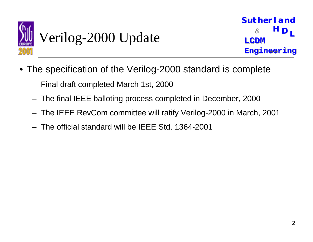

### Verilog-2000 Update

- The specification of the Verilog-2000 standard is complete
	- Final draft completed March 1st, 2000
	- The final IEEE balloting process completed in December, 2000
	- The IEEE RevCom committee will ratify Verilog-2000 in March, 2001
	- The official standard will be IEEE Std. 1364-2001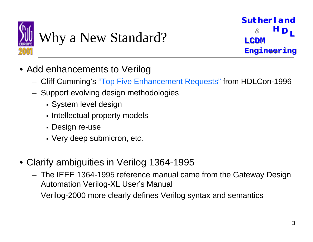

### Why a New Standard?

- Add enhancements to Verilog
	- Cliff Cumming's "Top Five Enhancement Requests" from HDLCon-1996
	- Support evolving design methodologies
		- **System level design**
		- Intellectual property models
		- Design re-use
		- $\overline{\phantom{a}}$  Very deep submicron, etc.
- Clarify ambiguities in Verilog 1364-1995
	- The IEEE 1364-1995 reference manual came from the Gateway Design Automation Verilog-XL User's Manual
	- Verilog-2000 more clearly defines Verilog syntax and semantics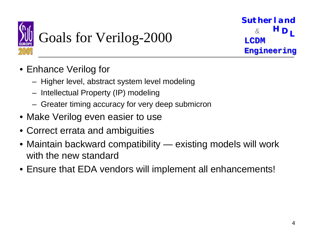

# Goals for Verilog-2000

- Enhance Verilog for
	- Higher level, abstract system level modeling
	- Intellectual Property (IP) modeling
	- Greater timing accuracy for very deep submicron
- Make Verilog even easier to use
- Correct errata and ambiguities
- Maintain backward compatibility existing models will work with the new standard
- Ensure that EDA vendors will implement all enhancements!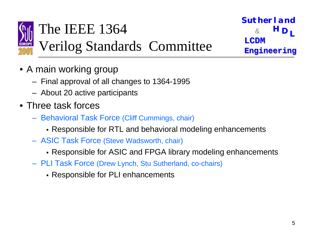

#### The IEEE 1364&

Verilog Standards Committee

- A main working group
	- Final approval of all changes to 1364-1995
	- About 20 active participants
- Three task forces
	- Behavioral Task Force (Cliff Cummings, chair)
		- ! Responsible for RTL and behavioral modeling enhancements
	- ASIC Task Force (Steve Wadsworth, chair)
		- . Responsible for ASIC and FPGA library modeling enhancements
	- PLI Task Force (Drew Lynch, Stu Sutherland, co-chairs)
		- **Responsible for PLI enhancements**

**L <sup>H</sup> <sup>D</sup>**

**Sutherland Sutherland**

**Engineering Engineering**

 $\tt LCDM$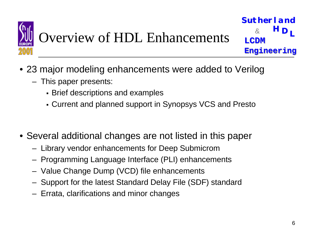

## Overview of HDL Enhancements

**LH DSutherland Sutherland** $\tt LCDM$ **Engineering Engineering**  $\mathcal{S}_{\mathbf{z}}$ 

- 23 major modeling enhancements were added to Verilog
	- This paper presents:
		- **Brief descriptions and examples**
		- ! Current and planned support in Synopsys VCS and Presto
- Several additional changes are not listed in this paper
	- Library vendor enhancements for Deep Submicrom
	- Programming Language Interface (PLI) enhancements
	- Value Change Dump (VCD) file enhancements
	- Support for the latest Standard Delay File (SDF) standard
	- Errata, clarifications and minor changes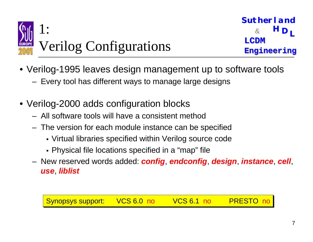

- Verilog-1995 leaves design management up to software tools
	- Every tool has different ways to manage large designs
- Verilog-2000 adds configuration blocks
	- All software tools will have a consistent method
	- The version for each module instance can be specified
		- ! Virtual libraries specified within Verilog source code
		- ! Physical file locations specified in a "map" file
	- New reserved words added: *config*, *endconfig*, *design*, *instance*, *cell*, *use*, *liblist*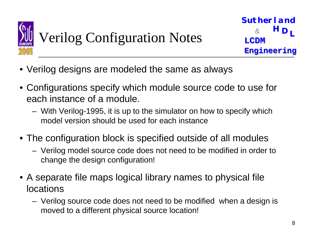

# Verilog Configuration Notes

- Verilog designs are modeled the same as always
- Configurations specify which module source code to use for each instance of a module.
	- With Verilog-1995, it is up to the simulator on how to specify which model version should be used for each instance
- The configuration block is specified outside of all modules
	- Verilog model source code does not need to be modified in order to change the design configuration!
- A separate file maps logical library names to physical file locations
	- Verilog source code does not need to be modified when a design is moved to a different physical source location!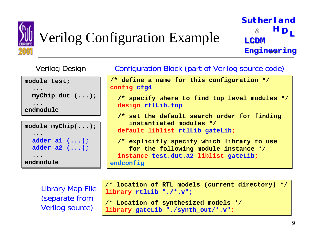

# Verilog Configuration Example

**LH DSutherland Sutherland** $\tt LCDM$ **Engineering Engineering** &

**module test; module test; ...myChip dut (...); myChip dut (...); ......endmoduleendmodule...module myChip(...); module myChip(...); ......adder a1 (...); adder a1 (...); adder a2 (...); adder a2 (...); ......** Verilog Design

**endmoduleendmodule**

Configuration Block (part of Verilog source code)

/\* define a name for this configuration \*/  $\,$ **config cfg4 config cfg4**

/\*  ${\tt specify}$  where to find top level modules \*/ **design rtlLib.top design rtlLib.top**

 $\prime\,^{\star}$  set the default search order for finding **instantiated modules \*/ instantiated modules \*/ default liblist rtlLib gateLib; default liblist rtlLib gateLib ;**

/\* explicitly specify which library to use for the following module instance \*/ **instance test.dut.a2 liblist gateLib; instance test.dut.a2 liblist gateLib ; endconfig endconfig**

Library Map File (separate from Verilog source)

/\* location of RTL models (current directory) \*/ **library rtlLib "./\*.v"; library rtlLib "./\*.v";**  $\prime\,^{\ast}$  Location of synthesized models  $^{\ast}\,$ / **library gateLib "./synth\_out/\*.v"; library gateLib "./synth\_out/\*.v" ;**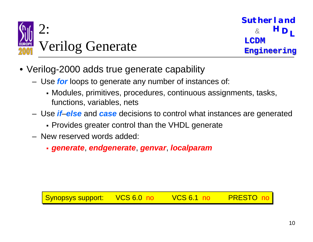

- Verilog-2000 adds true generate capability
	- Use *for* loops to generate any number of instances of:
		- ! Modules, primitives, procedures, continuous assignments, tasks, functions, variables, nets
	- Use *if*–*else* and *case* decisions to control what instances are generated
		- ! Provides greater control than the VHDL generate
	- New reserved words added:
		- ! *generate*, *endgenerate*, *genvar*, *localparam*

Synopsys support: VCS 6.0 no VCS 6.1 no PRESTO no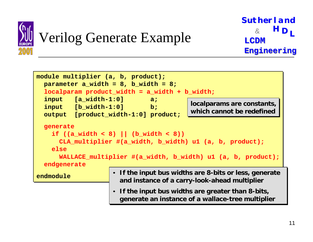

#### Verilog Generate Example

```
module multiplier (a, b, product);
module multiplier (a, b, product);
    parameter a_width = 8, b_width = 8;
    localparam product_width = a_width + b_width;
localparam product_width = a_width + b_width;
    input [a_width-1:0] a;
input [a_width-1:0] a;
    input [b_width-1:0] b;
input [b_width-1:0] b;
    output [product_width-1:0] product;
output [product_width-1:0] product;
    generate
generate
         \texttt{if} \hspace{0.2cm} \left( \hspace{0.1cm} \texttt{(a\_width} \hspace{0.1cm} < \hspace{0.1cm} 8 \hspace{0.1cm} \right) \hspace{0.2cm} \hspace{0.2cm} \left| \hspace{0.1cm} \texttt{(b\_width} \hspace{0.1cm} < \hspace{0.1cm} 8 \hspace{0.1cm} \right) \hspace{0.2cm} \right|CLA_multiplier #(a_width, b_width) u1 (a, b, product);
         elseelseWALLACE_multiplier #(a_width, b_width)                              u1 (a, b, product);
    endgenerate
endgenerate
endmoduleendmodule • If the input bus widths are 8-bits or less, generate 
• If the input bus widths are 8-bits or less, generate 
                                                 and instance of a carry-look-ahead multiplier
and instance of a carry-look-ahead multiplier
                                            • If the input bus widths are greater than 8-bits, 
• If the input bus widths are greater than 8-bits, 
                                                 generate an instance of a wallace-tree multiplier
generate an instance of a wallace-tree multiplier
                                                                                          localparams are constants,
localparams are constants,
                                                                                          which cannot be redefinedwhich cannot be redefined
```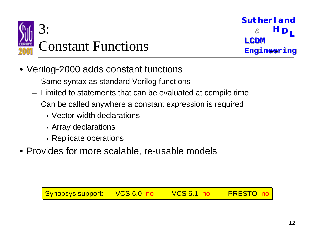

- Verilog-2000 adds constant functions
	- Same syntax as standard Verilog functions
	- Limited to statements that can be evaluated at compile time
	- Can be called anywhere a constant expression is required
		- Vector width declarations
		- **-** Array declarations
		- Replicate operations
- Provides for more scalable, re-usable models

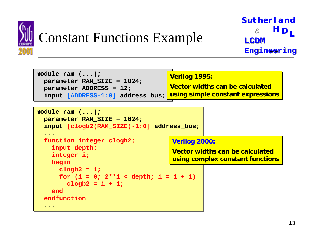

#### Constant Functions Example



```
module ram (...);
module ram (...);
    parameter RAM_SIZE = 1024;
parameter RAM_SIZE = 1024;
    input [clogb2(RAM_SIZE)-1:0] address_bus;
input [clogb2(RAM_SIZE)-1:0] address_bus;
     ...function integer clogb2;
function integer clogb2;
        input depth;
input depth;
        integer i;
integer i;
        begin
begin
            clogb2 = 1;
clogb2 = 1;
            for (i = 0; 2**i < depth; i = i + 1)
                clogb2 = i + 1;
clogb2 = i + 1;
        endendendfunctionendfunction.........Verilog 2000:
Verilog 2000:
                                                                        Vector widths can be calculated Vector widths can be calculated using complex constant functions
using complex constant functions
```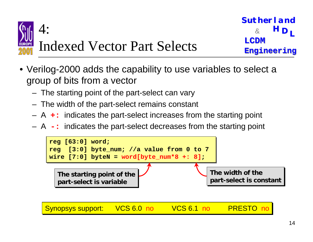

- Verilog-2000 adds the capability to use variables to select a group of bits from a vector
	- The starting point of the part-select can vary
	- The width of the part-select remains constant
	- A **+:** indicates the part-select increases from the starting point
	- A **-:** indicates the part-select decreases from the starting point

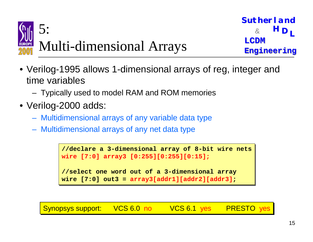

- Verilog-1995 allows 1-dimensional arrays of reg, integer and time variables
	- Typically used to model RAM and ROM memories
- Verilog-2000 adds:
	- Multidimensional arrays of any variable data type
	- Multidimensional arrays of any net data type

```
//declare a 3-dimensional array of 8-bit wire nets
wire [7:0] array3 [0:255][0:255][0:15];
wire [7:0] array3 [0:255][0:255][0:15];
//select one word out of a 3-dimensional array
wire [7:0] out3 = array3[addr1][addr2][addr3];
wire [7:0] out3 = array3[addr1][addr2][addr3];
```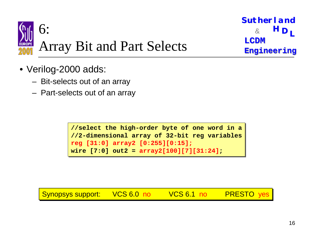

```
L H D
Sutherland Sutherland\tt LCDMEngineering
Engineering
```
- Verilog-2000 adds:
	- Bit-selects out of an array
	- Part-selects out of an array

```
//{\tt select} the high-order byte of one word in a
//2-dimensional array of 32-bit reg variables
reg [31:0] array2 [0:255][0:15];
reg [31:0] array2 [0:255][0:15];
wire [7:0] out2 = array2[100][7][31:24];
wire [7:0] out2 = array2[100][7][31:24];
```
Synopsys support: VCS 6.0 no VCS 6.1 no PRESTO yes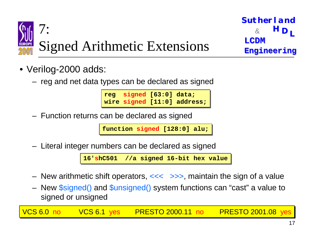

- Verilog-2000 adds:
	- reg and net data types can be declared as signed

**reg signed [63:0] data; reg signed [63:0] data; wire signed [11:0] address; wire signed [11:0] address;**

Function returns can be declared as signed

**function function signed [128:0] alu; signed [128:0] alu;**

Literal integer numbers can be declared as signed

16'<mark>shC501</mark> //a signed 16-bit hex value

- New arithmetic shift operators, <<< >>>>, maintain the sign of a value
- New \$signed() and \$unsigned() system functions can "cast" a value to signed or unsigned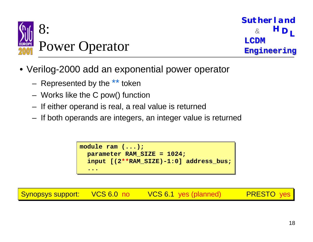

- Verilog-2000 add an exponential power operator
	- Represented by the \*\* token
	- Works like the C pow() function
	- If either operand is real, a real value is returned
	- If both operands are integers, an integer value is returned

```
module ram (...);
module ram (...);
    parameter RAM_SIZE = 1024;
parameter RAM_SIZE = 1024;
    input [(2**RAM_SIZE)-1:0] address_bus;
input [(2**RAM_SIZE)-1:0] address_bus;
    ......
```
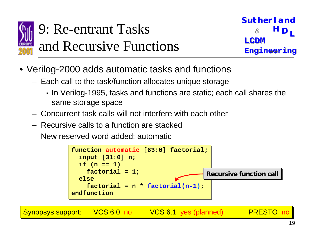

### 9: Re-entrant Tasks & and Recursive Functions

**L <sup>H</sup> <sup>D</sup> Sutherland Sutherland** $\tt LCDM$ **Engineering Engineering**

- Verilog-2000 adds automatic tasks and functions
	- Each call to the task/function allocates unique storage
		- ! In Verilog-1995, tasks and functions are static; each call shares the same storage space
	- Concurrent task calls will not interfere with each other
	- Recursive calls to a function are stacked
	- New reserved word added: automatic



Synopsys support: VCS 6.0 no VCS 6.1 yes (planned) PRESTO no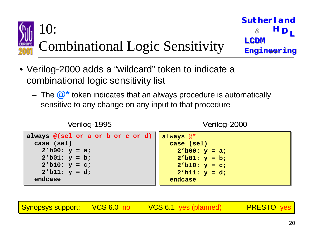

- Verilog-2000 adds a "wildcard" token to indicate a combinational logic sensitivity list
	- The **@\*** token indicates that an always procedure is automatically sensitive to any change on any input to that procedure

```
Verilog-1995
```
Verilog-2000

always @(sel or a or b or c or d) **case (sel) case (sel) 2'b00: y <sup>=</sup> a; 2'b00: y <sup>=</sup> a; 2'b01: y <sup>=</sup> b; 2'b01: y <sup>=</sup> b; 2'b10: y <sup>=</sup> c; 2'b10: y <sup>=</sup> c; 2'b11: y <sup>=</sup> d; 2'b11: y <sup>=</sup> d; endcaseendcasealways @\* always @\* case (sel) case (sel) 2'b00: y <sup>=</sup> a; 2'b00: y <sup>=</sup> a; 2'b01: y <sup>=</sup> b; 2'b01: y <sup>=</sup> b; 2'b10: y <sup>=</sup> c; 2'b10: y <sup>=</sup> c; 2'b11: y <sup>=</sup> d; 2'b11: y <sup>=</sup> d; endcaseendcase**

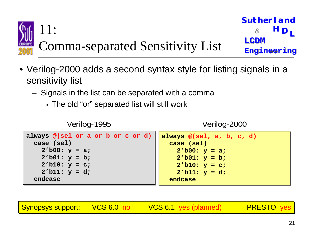

- Verilog-2000 adds a second syntax style for listing signals in a sensitivity list
	- Signals in the list can be separated with a comma
		- ! The old "or" separated list will still work

```
Verilog-1995
```
Verilog-2000

```
always @(sel or a or b or c or d)
   case (sel)
case (sel)
        2'b00: y = a;
2'b00: y = a;
        2'b01: y = b;
2'b01: y = b;
        2'b10: y = c;
2'b10: y = c;
        2'b11: y = d;
2'b11: y = d;
   endcaseendcasealways @(sel, a, b, c, d)
always @(sel, a, b, c, d)
                                                                          case (sel)
case (sel)
                                                                              2'b00: y = a;
2'b00: y = a;
                                                                              2'b01: y = b;
2'b01: y = b;
                                                                              2'b10: y = c;
2'b10: y = c;
                                                                              2'b11: y = d;
2'b11: y = d;
                                                                          endcaseendcase
```
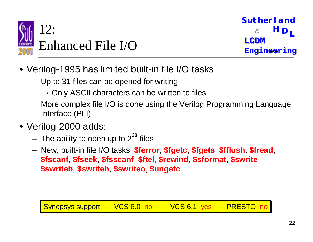

- Verilog-1995 has limited built-in file I/O tasks
	- Up to 31 files can be opened for writing
		- ! Only ASCII characters can be written to files
	- More complex file I/O is done using the Verilog Programming Language Interface (PLI)
- Verilog-2000 adds:
	- The ability to open up to 2**<sup>30</sup>** files
	- New, built-in file I/O tasks: **\$ferror**, **\$fgetc**, **\$fgets**, **\$fflush**, **\$fread**, **\$fscanf**, **\$fseek**, **\$fsscanf**, **\$ftel**, **\$rewind**, **\$sformat**, **\$swrite**, **\$swriteb**, **\$swriteh**, **\$swriteo**, **\$ungetc**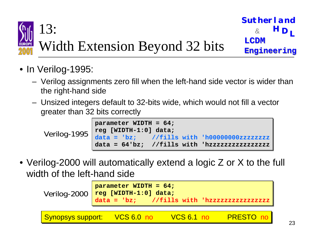

- In Verilog-1995:
	- Verilog assignments zero fill when the left-hand side vector is wider than the right-hand side
	- Unsized integers default to 32-bits wide, which would not fill a vector greater than 32 bits correctly



• Verilog-2000 will automatically extend a logic Z or X to the full width of the left-hand side

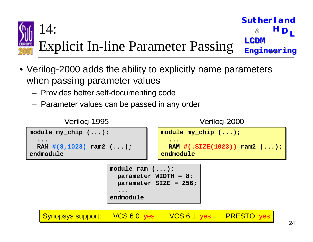

- Verilog-2000 adds the ability to explicitly name parameters when passing parameter values
	- Provides better self-documenting code
	- Parameter values can be passed in any order

```
module my_chip (...);
module my_chip (...);
    ...RAM #(8,1023) ram2 (...);
RAM #(8,1023) ram2 (...);
endmoduleendmodule...Verilog-1995
                                                                  module my_chip (...);
module my_chip (...);
                                                                       ...RAM #(.SIZE(1023)) ram2 (...);
RAM #(.SIZE(1023)) ram2 (...);
                                                                  endmoduleendmodule...Verilog-2000
                                        module ram (...);
module ram (...);
                                            parameter WIDTH = 8;
parameter WIDTH = 8;
                                            parameter SIZE = 256;
parameter SIZE = 256;
                                             ...endmoduleendmodule...
```
Synopsys support: VCS 6.0 yes VCS 6.1 yes PRESTO yes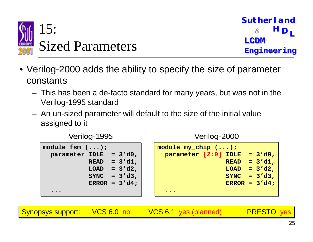

- Verilog-2000 adds the ability to specify the size of parameter constants
	- This has been a de-facto standard for many years, but was not in the Verilog-1995 standard
	- An un-sized parameter will default to the size of the initial value assigned to it

**module fsm (...); module fsm (...); parameter IDLE <sup>=</sup> 3'd0, parameter IDLE <sup>=</sup> 3'd0, READ <sup>=</sup> 3'd1, READ <sup>=</sup> 3'd1, LOAD <sup>=</sup> 3'd2, LOAD <sup>=</sup> 3'd2, SYNC <sup>=</sup> 3'd3, SYNC <sup>=</sup> 3'd3, ERROR <sup>=</sup> 3'd4; ERROR <sup>=</sup> 3'd4; ......module my\_chip (...); module my\_chip (...); parameter [2:0] IDLE <sup>=</sup> 3'd0, parameter [2:0] IDLE <sup>=</sup> 3'd0, READ <sup>=</sup> 3'd1, READ <sup>=</sup> 3'd1, LOAD <sup>=</sup> 3'd2, LOAD <sup>=</sup> 3'd2, SYNC <sup>=</sup> 3'd3, SYNC <sup>=</sup> 3'd3, ERROR <sup>=</sup> 3'd4; ERROR <sup>=</sup> 3'd4; ......**

Synopsys support: VCS 6.0 no VCS 6.1 yes (planned) PRESTO yes



Verilog-2000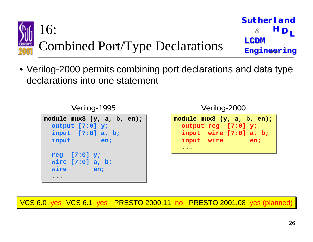

• Verilog-2000 permits combining port declarations and data type declarations into one statement

Verilog-1995

| module $mux8$ (y, a, b, en);<br>output [7:0] y;<br>input $[7:0]$ a, b; |
|------------------------------------------------------------------------|
| input                                                                  |
| en;                                                                    |
| reg $[7:0]$ y;<br>wire $[7:0]$ a, b;<br>wire<br>en;                    |

Verilog-2000

| module $mux8$ $(y, a, b, en);$ |  |     |
|--------------------------------|--|-----|
| output reg [7:0] y;            |  |     |
| input wire [7:0] a, b;         |  |     |
| input wire                     |  | en; |
|                                |  |     |

VCS 6.0 yes VCS 6.1 yes PRESTO 2000.11 no PRESTO 2001.08 yes (planned)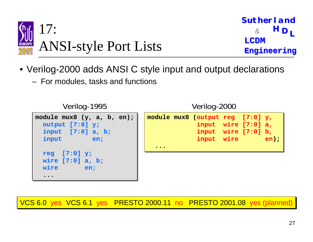

- Verilog-2000 adds ANSI C style input and output declarations
	- For modules, tasks and functions



VCS 6.0 yes VCS 6.1 yes PRESTO 2000.11 no PRESTO 2001.08 yes (planned)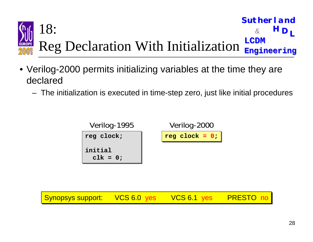

- Verilog-2000 permits initializing variables at the time they are declared
	- The initialization is executed in time-step zero, just like initial procedures

**reg clock; initialclk <sup>=</sup> 0; reg clock; initialclk <sup>=</sup> 0;** Verilog-1995 **reg clock reg clock <sup>=</sup> 0; <sup>=</sup> 0;** Verilog-2000

Synopsys support: VCS 6.0 yes VCS 6.1 yes PRESTO no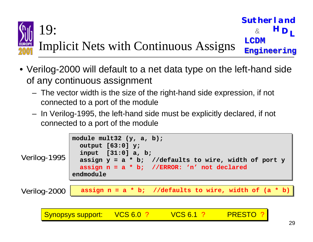

- Verilog-2000 will default to a net data type on the left-hand side of any continuous assignment
	- The vector width is the size of the right-hand side expression, if not connected to a port of the module
	- In Verilog-1995, the left-hand side must be explicitly declared, if not connected to a port of the module



Synopsys support: VCS 6.0 ? VCS 6.1 ? PRESTO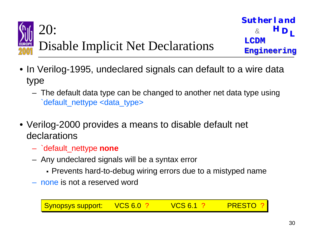

- In Verilog-1995, undeclared signals can default to a wire data type
	- The default data type can be changed to another net data type using `default\_nettype <data\_type>
- Verilog-2000 provides a means to disable default net declarations
	- `default\_nettype **none**
	- Any undeclared signals will be a syntax error
		- ! Prevents hard-to-debug wiring errors due to a mistyped name
	- none is not a reserved word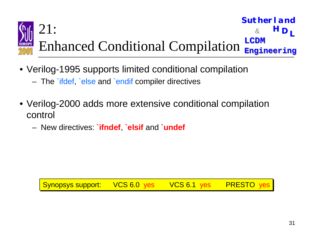

- Verilog-1995 supports limited conditional compilation
	- The `ifdef, `else and `endif compiler directives
- Verilog-2000 adds more extensive conditional compilation control
	- New directives: **`ifndef**, **`elsif** and **`undef**

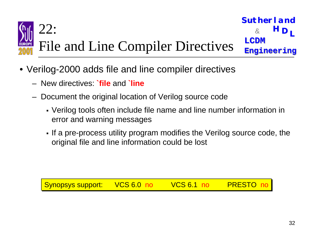

File and Line Compiler Directives

- Verilog-2000 adds file and line compiler directives
	- New directives: **`file** and **`line**
	- Document the original location of Verilog source code
		- ! Verilog tools often include file name and line number information in error and warning messages
		- ! If a pre-process utility program modifies the Verilog source code, the original file and line information could be lost

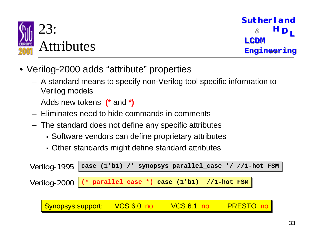

- Verilog-2000 adds "attribute" properties
	- A standard means to specify non-Verilog tool specific information to Verilog models
	- Adds new tokens **(\*** and **\*)**
	- Eliminates need to hide commands in comments
	- The standard does not define any specific attributes
		- **Software vendors can define proprietary attributes**
		- ! Other standards might define standard attributes

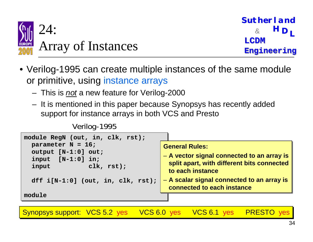

- Verilog-1995 can create multiple instances of the same module or primitive, using instance arrays
	- This is *not* a new feature for Verilog-2000
	- It is mentioned in this paper because Synopsys has recently added support for instance arrays in both VCS and Presto

```
Verilog-1995
```

```
module RegN (out, in, clk, rst);
module RegN (out, in, clk, rst);
    parameter N = 16;
parameter N = 16;
    output [N-1:0] out;
output [N-1:0] out;
    input [N-1:0] in;
input [N-1:0] in;
    input clk, rst);
input clk, rst);
    dff i[N-1:0] (out, in, clk, rst);
dff i[N-1:0] (out, in, clk, rst);
modulemoduleGeneral Rules:General Rules:– A vector signal connected to an array is 
– A vector signal connected to an array is 
                                                                                      split apart, with different bits connected 
split apart, with different bits connected 
                                                                                      to each instanceto each instance– A scalar signal connected to an array is 
– A scalar signal connected to an array is 
                                                                                      connected to each instanceconnected to each instance
```
Synopsys support: VCS 5.2 yes VCS 6.0 yes VCS 6.1 yes PRESTO yes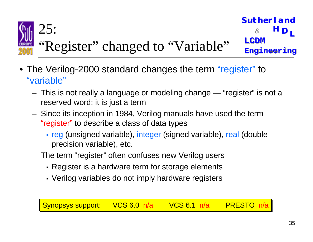

- The Verilog-2000 standard changes the term "register" to "variable"
	- This is not really a language or modeling change "register" is not a reserved word; it is just a term
	- Since its inception in 1984, Verilog manuals have used the term "register" to describe a class of data types
		- reg (unsigned variable), integer (signed variable), real (double precision variable), etc.
	- The term "register" often confuses new Verilog users
		- **Register is a hardware term for storage elements**
		- Verilog variables do not imply hardware registers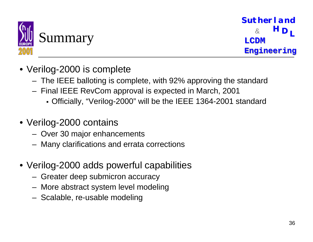

- Verilog-2000 is complete
	- The IEEE balloting is complete, with 92% approving the standard
	- Final IEEE RevCom approval is expected in March, 2001
		- ! Officially, "Verilog-2000" will be the IEEE 1364-2001 standard
- Verilog-2000 contains
	- Over 30 major enhancements
	- Many clarifications and errata corrections
- Verilog-2000 adds powerful capabilities
	- Greater deep submicron accuracy
	- More abstract system level modeling
	- Scalable, re-usable modeling